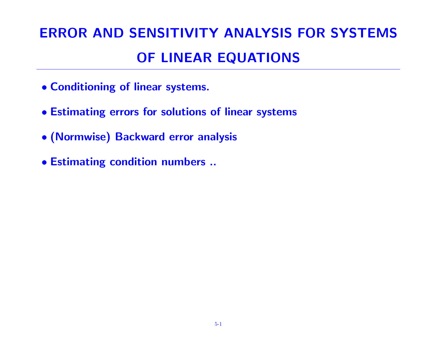# ERROR AND SENSITIVITY ANALYSIS FOR SYSTEMS OF LINEAR EQUATIONS

- Conditioning of linear systems.
- Estimating errors for solutions of linear systems
- (Normwise) Backward error analysis
- Estimating condition numbers ..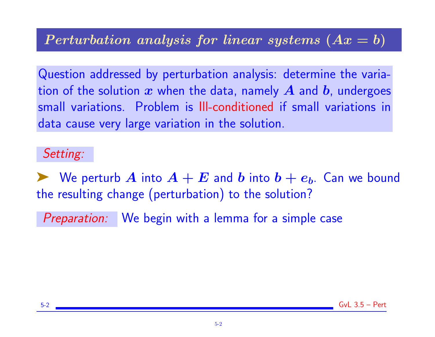# Perturbation analysis for linear systems  $(Ax = b)$

Question addressed by perturbation analysis: determine the variation of the solution  $x$  when the data, namely  $A$  and  $b$ , undergoes small variations. Problem is Ill-conditioned if small variations in data cause very large variation in the solution.

#### Setting:

We perturb  $\bm{A}$  into  $\bm{A}+\bm{E}$  and  $\bm{b}$  into  $\bm{b}+\bm{e_b}$ . Can we bound the resulting change (perturbation) to the solution?

Preparation: We begin with a lemma for a simple case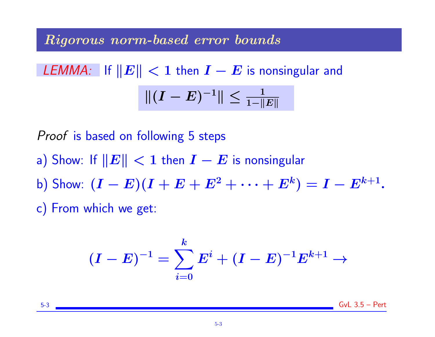#### Rigorous norm-based error bounds

$$
\text{LEMMA:} \quad \text{If } ||E|| < 1 \text{ then } I - E \text{ is nonsingular and} \\
|| (I - E)^{-1} || \le \frac{1}{1 - ||E||}
$$

Proof is based on following 5 steps

- a) Show: If  $||E|| < 1$  then  $I E$  is nonsingular
- b) Show:  $(I E)(I + E + E^2 + \cdots + E^k) = I E^{k+1}.$
- c) From which we get:

$$
(I-E)^{-1}=\sum_{i=0}^k E^i + (I-E)^{-1}E^{k+1} \to
$$

5-3 GvL 3.5 – Pert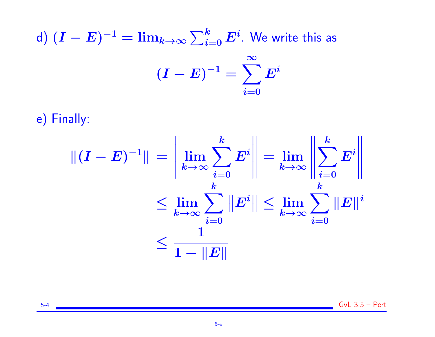## d)  $(\boldsymbol{I}-\boldsymbol{E})^{-1} = \lim_{k\rightarrow \infty} \sum_{i=0}^k \boldsymbol{E}^i.$  We write this as  $(I - E)^{-1} = \sum$ ∞  $i$ =0  $\bm{E^i}$

e) Finally:

$$
\begin{aligned} \|(I-E)^{-1}\|&=\left\|\lim_{k\rightarrow\infty}\sum_{i=0}^k E^i\right\|=\lim_{k\rightarrow\infty}\left\|\sum_{i=0}^k E^i\right\|\\ &\leq \lim_{k\rightarrow\infty}\sum_{i=0}^k\left\|E^i\right\|\leq \lim_{k\rightarrow\infty}\sum_{i=0}^k\|E\|^i\\ &\leq \frac{1}{1-\|E\|}\end{aligned}
$$

5-4 GvL 3.5 – Pert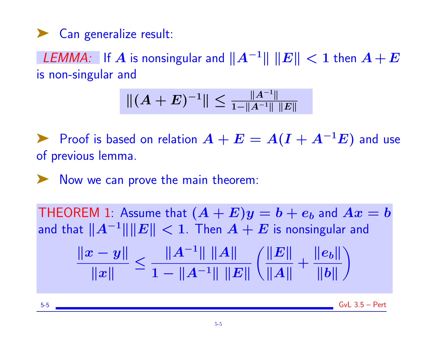# ◆ Can generalize result:

LEMMA: If  $A$  is nonsingular and  $\|A^{-1}\|$   $\|E\| < 1$  then  $A + E$ is non-singular and

$$
\|(A+E)^{-1}\| \leq \frac{\|A^{-1}\|}{1-\|A^{-1}\|\,\|E\|}
$$

Proof is based on relation  $A + E = A(I + A^{-1}E)$  and use of previous lemma.

➤ Now we can prove the main theorem:

THEOREM 1: Assume that  $(A + E)y = b + e_b$  and  $Ax = b$ and that  $||A^{-1}|| ||E|| < 1$ . Then  $A + E$  is nonsingular and  $\|x - y\|$  $\Vert x \Vert$ ≤  $||A^{-1}|| ||A||$  $1 - \|A^{-1}\| \|E\|$  $\|E\|$  $\|A\|$  $+$  $\|e_b\|$  $\|b\|$  $\setminus$ 

 $5-5$  Gyl  $3.5 -$  Pert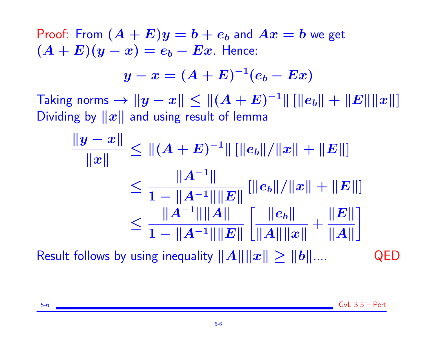Proof: From  $(A + E)y = b + e_b$  and  $Ax = b$  we get  $(A + E)(y - x) = e_b - Ex$ . Hence:

$$
y-x=(A+E)^{-1}(e_b-Ex)
$$

Taking norms  $\rightarrow \Vert y-x \Vert \leq \Vert (A+E)^{-1} \Vert \left[ \Vert e_b \Vert + \Vert E \Vert \Vert x \Vert \right]$ Dividing by  $||x||$  and using result of lemma

$$
\frac{\|y - x\|}{\|x\|} \le \| (A + E)^{-1} \| [\|e_b\| / \|x\| + \|E\| ]
$$
  
\n
$$
\le \frac{\|A^{-1}\|}{1 - \|A^{-1}\| \|E\|} [\|e_b\| / \|x\| + \|E\| ]
$$
  
\n
$$
\le \frac{\|A^{-1}\| \|A\|}{1 - \|A^{-1}\| \|E\|} [\frac{\|e_b\|}{\|A\| \|x\|} + \frac{\|E\|}{\|A\|} ]
$$
  
\nResult follows by using inequality  $||A|| \|x|| \ge ||b|| ...$  QED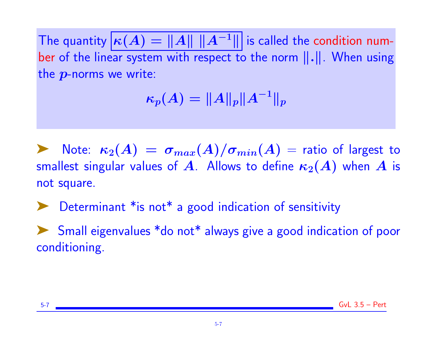The quantity  $|\kappa(A) = ||A|| ||A^{-1}||$  is called the condition number of the linear system with respect to the norm  $\|\cdot\|$ . When using the  $p$ -norms we write:

$$
\kappa_p(A)=\|A\|_p\|A^{-1}\|_p
$$

Note:  $\kappa_2(A) \,=\, \sigma_{max}(A)/\sigma_{min}(A) \,=\,$  ratio of largest to smallest singular values of A. Allows to define  $\kappa_2(A)$  when A is not square.

Determinant \* is not\* a good indication of sensitivity

Small eigenvalues \*do not\* always give a good indication of poor conditioning.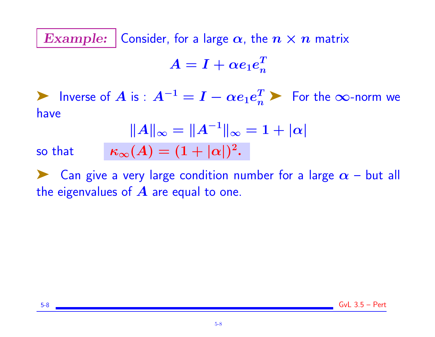Example: Consider, for a large  $\alpha$ , the  $n \times n$  matrix

$$
A = I + \alpha e_1 e_n^T
$$

► Inverse of A is :  $A^{-1} = I - \alpha e_1 e_n^T$  > For the ∞-norm we have

$$
||A||_{\infty} = ||A^{-1}||_{\infty} = 1 + |\alpha|
$$

$$
\kappa_{\infty}(A) = (1 + |\alpha|)^2.
$$

so that

Example 2 Can give a very large condition number for a large  $\alpha$  – but all the eigenvalues of  $\boldsymbol{A}$  are equal to one.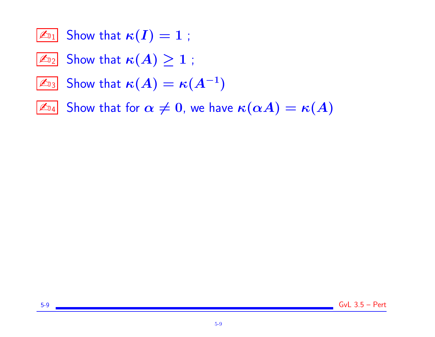- $\boxed{\mathbb{Z}_{01}}$  Show that  $\kappa(I) = 1$ ;
- $\boxed{\mathbb{Z}_{22}}$  Show that  $\kappa(A) \geq 1$ ;
- $\mathbb{Z}_{3}$  Show that  $\kappa(A) = \kappa(A^{-1})$
- $\boxed{\mathbb{Z}_{\mathbb{D}_4}}$  Show that for  $\alpha\neq 0$ , we have  $\kappa(\alpha A)=\kappa(A)$

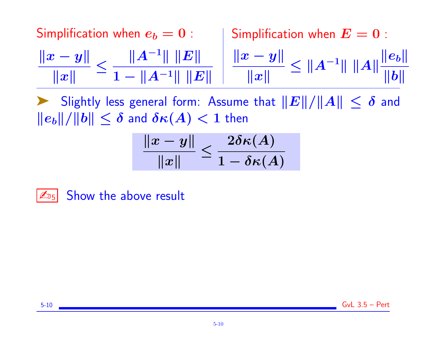Simplification when  $e_b = 0$ :  $\|x - y\|$  $\Vert x \Vert$ ≤  $||A^{-1}|| ||E||$  $1 - \|A^{-1}\| \|E\|$ Simplification when  $E = 0$ :  $\|x - y\|$  $\Vert x \Vert$  $\leq$   $||A^{-1}|| ||A||$  $\|e_b\|$  $\|b\|$ 

Slightly less general form: Assume that  $||E||/||A|| \leq \delta$  and  $||e_b||/||b|| \leq \delta$  and  $\delta \kappa(A) < 1$  then

$$
\frac{\|x-y\|}{\|x\|} \leq \frac{2\delta \kappa(A)}{1-\delta \kappa(A)}
$$

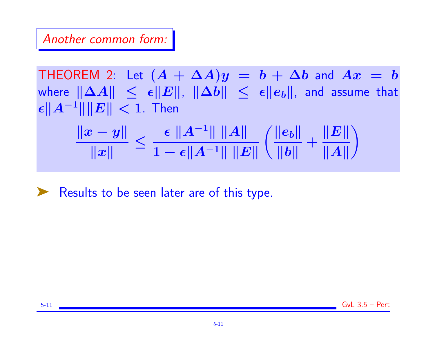# Another common form:

THEOREM 2: Let  $(A + \Delta A)y = b + \Delta b$  and  $Ax = b$ where  $\|\Delta A\| \leq \epsilon \|E\|$ ,  $\|\Delta b\| \leq \epsilon \|e_b\|$ , and assume that  $\|\epsilon\|A^{-1}\|\|E\| < 1$ . Then  $\|x - y\|$  $\Vert x \Vert$ ≤  $\epsilon$   $||A^{-1}||$   $||A||$  $1 - \epsilon \|A^{-1}\| \|E\|$  $\|e_b\|$  $\|b\|$  $+$  $\|E\|$  $\|A\|$  $\setminus$ 

► Results to be seen later are of this type.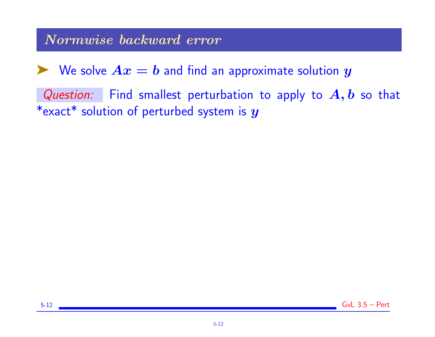## Normwise backward error

 $\blacktriangleright$  We solve  $Ax = b$  and find an approximate solution  $y$ 

Question: Find smallest perturbation to apply to  $A, b$  so that \*exact\* solution of perturbed system is  $y$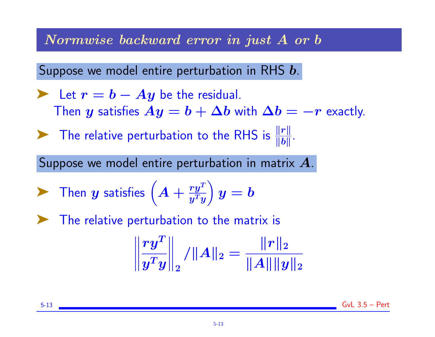Normwise backward error in just A or b

Suppose we model entire perturbation in RHS b.

Let 
$$
r = b - Ay
$$
 be the residual.  
Then y satisfies  $Ay = b + \Delta b$  with  $\Delta b = -r$  exactly.

The relative perturbation to the RHS is  $\frac{\|r\|}{\|b\|}$ .

Suppose we model entire perturbation in matrix A.

$$
\blacktriangleright \text{ Then } y \text{ satisfies } \left( A + \frac{ry^T}{y^T y} \right) y = b
$$

The relative perturbation to the matrix is

$$
\left\|\frac{ry^T}{y^Ty}\right\|_2/\|A\|_2=\frac{\|r\|_2}{\|A\|\|y\|_2}
$$

5-13 GvL 3.5 – Pert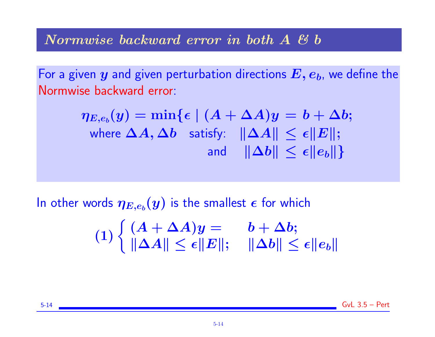### Normwise backward error in both A & b

For a given  $y$  and given perturbation directions  $E, e_b$ , we define the Normwise backward error:

$$
\eta_{E,e_b}(y) = \min \{ \epsilon \mid (A + \Delta A)y = b + \Delta b; \\ \text{where $\Delta A, \Delta b$ satisfy: } \ \|\Delta A\| \leq \epsilon \|E\|; \\ \text{and} \quad \|\Delta b\| \leq \epsilon \|e_b\| \}
$$

In other words  $\boldsymbol{\eta_{E,e_b}(y)}$  is the smallest  $\boldsymbol{\epsilon}$  for which

$$
(1) \begin{cases} (A + \Delta A)y = & b + \Delta b; \\ \|\Delta A\| \leq \epsilon \|E\|; & \|\Delta b\| \leq \epsilon \|e_b\| \end{cases}
$$

 $5-14$  Gyl  $3.5 -$  Pert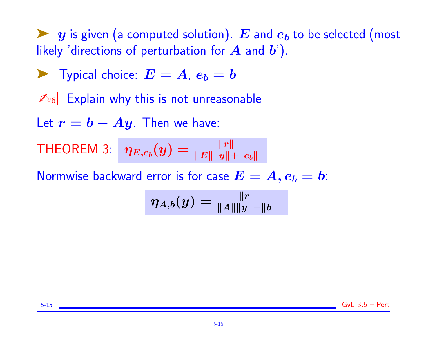$\blacktriangleright$  y is given (a computed solution). E and  $e_b$  to be selected (most likely 'directions of perturbation for  $A$  and  $b'$ ).

$$
\blacktriangleright
$$
 Typical choice:  $E = A$ ,  $e_b = b$ 

 $\mathbb{Z}_{6}$  Explain why this is not unreasonable

Let  $r = b - Ay$ . Then we have:

THEOREM 3:  $\mid \eta_{E,e_b}(y)=\frac{\lVert r \rVert}{\lVert E \rVert \lVert y \rVert_{\lVert x \rVert}}$  $\|E\| \|y\|+\|e_b\|$ 

Normwise backward error is for case  $E = A, e_b = b$ :

$$
\eta_{A,b}(y)=\tfrac{\|r\|}{\|A\|\|y\|+\|b\|}
$$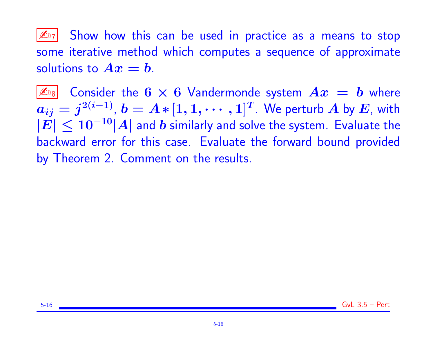$|\mathcal{L}_{17}|$  Show how this can be used in practice as a means to stop some iterative method which computes a sequence of approximate solutions to  $Ax = b$ .

 $|\mathbb{Z}_{^{18}}|$  Consider the  $6\times 6$  Vandermonde system  $Ax\,=\,b$  where  $a_{ij}=j^{2(i-1)}$ ,  $b=A\ast[1,1,\cdots,1]^T$ . We perturb  $A$  by  $E$ , with  $|E| \leq 10^{-10} |A|$  and b similarly and solve the system. Evaluate the backward error for this case. Evaluate the forward bound provided by Theorem 2. Comment on the results.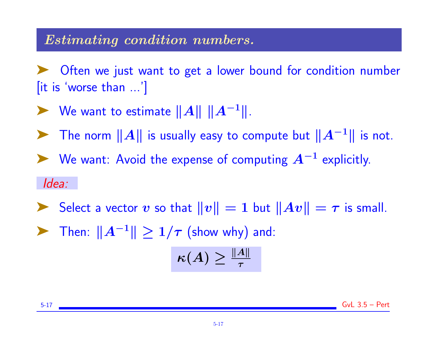## Estimating condition numbers.

Often we just want to get a lower bound for condition number [it is 'worse than ...']

- ► We want to estimate  $||A|| ||A^{-1}||$ .
- ► The norm  $||A||$  is usually easy to compute but  $||A^{-1}||$  is not.

► We want: Avoid the expense of computing  $A^{-1}$  explicitly.

#### Idea:

- Select a vector v so that  $||v|| = 1$  but  $||Av|| = \tau$  is small.
- $\triangleright$  Then:  $||A^{-1}|| \geq 1/\tau$  (show why) and:

$$
\kappa(A) \geq \tfrac{\|A\|}{\tau}
$$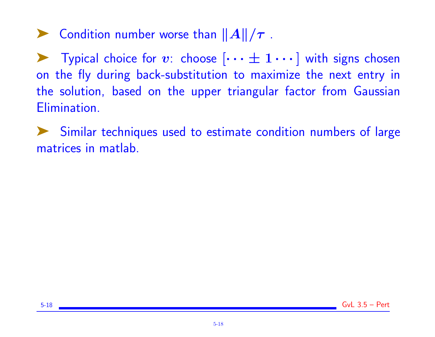$\blacktriangleright$  Condition number worse than  $||A||/\tau$ .

**Example 1** Typical choice for v: choose  $[\cdots \pm 1 \cdots]$  with signs chosen on the fly during back-substitution to maximize the next entry in the solution, based on the upper triangular factor from Gaussian Elimination.

Similar techniques used to estimate condition numbers of large matrices in matlab.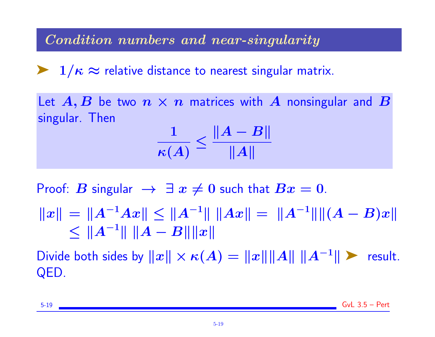Condition numbers and near-singularity

 $\blacktriangleright$  1/ $\kappa \approx$  relative distance to nearest singular matrix.

Let  $A, B$  be two  $n \times n$  matrices with A nonsingular and B singular. Then

$$
\frac{1}{\kappa(A)} \leq \frac{\|A-B\|}{\|A\|}
$$

Proof: B singular  $\rightarrow$   $\exists x \neq 0$  such that  $Bx = 0$ .

 $||x|| = ||A^{-1}Ax|| \le ||A^{-1}|| \, ||Ax|| = ||A^{-1}|| ||(A - B)x||$  $\leq$   $||A^{-1}|| ||A - B|| ||x||$ 

Divide both sides by  $||x|| \times \kappa(A) = ||x|| ||A|| ||A^{-1}||$  First QED.

5-19 GvL 3.5 – Pert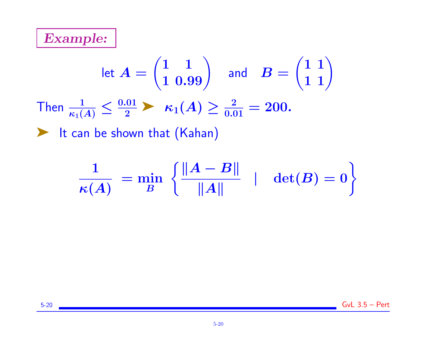

let 
$$
A = \begin{pmatrix} 1 & 1 \ 1 & 0.99 \end{pmatrix}
$$
 and  $B = \begin{pmatrix} 1 & 1 \ 1 & 1 \end{pmatrix}$   
Then  $\frac{1}{\kappa_1(A)} \le \frac{0.01}{2}$   $\kappa_1(A) \ge \frac{2}{0.01} = 200$ .  
  
 $\blacktriangleright$  It can be shown that (Kahan)

$$
\frac{1}{\kappa(A)} = \min_{B} \left\{ \frac{\|A-B\|}{\|A\|} \quad | \quad \det(B) = 0 \right\}
$$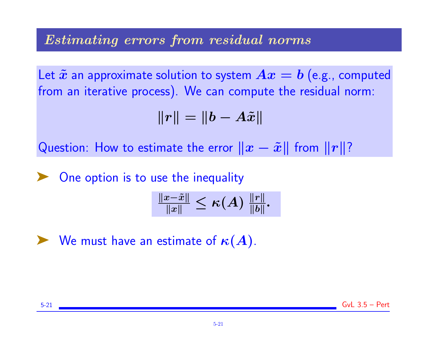# Estimating errors from residual norms

Let  $\tilde{x}$  an approximate solution to system  $Ax = b$  (e.g., computed from an iterative process). We can compute the residual norm:

$$
||r|| = ||b - A\tilde{x}||
$$

Question: How to estimate the error  $||x - \tilde{x}||$  from  $||r||$ ?

One option is to use the inequality

$$
\tfrac{\|x-\tilde x\|}{\|x\|}\leq \kappa(A)\;\tfrac{\|r\|}{\|b\|}.
$$

 $\blacktriangleright$  We must have an estimate of  $\kappa(A)$ .